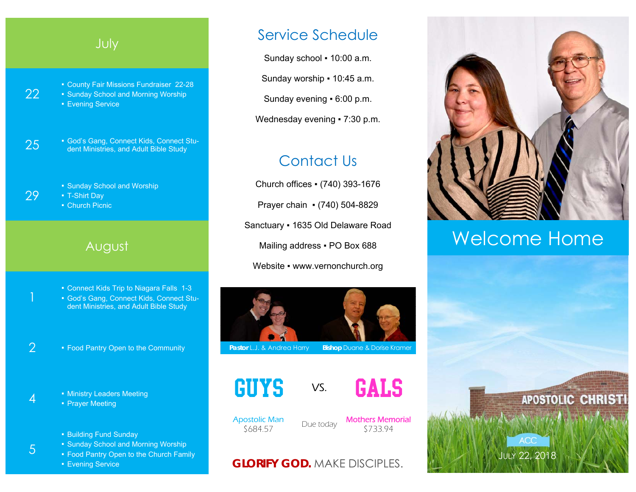### July

22

29

1

5

▪ County Fair Missions Fundraiser 22-28 **• Sunday School and Morning Worship** ■ Evening Service

**25** • God's Gang, Connect Kids, Connect Stu-<br>dent Ministries, and Adult Bible Study

**• Sunday School and Worship** ▪ T-Shirt Day ■ Church Picnic

#### August

**• Connect Kids Trip to Niagara Falls 1-3** ▪ God's Gang, Connect Kids, Connect Student Ministries, and Adult Bible Study

2 **Food Pantry Open to the Community** 

4 **F** Ministry Leaders Meeting • Prayer Meeting

- Building Fund Sunday
- **Sunday School and Morning Worship**
- Food Pantry Open to the Church Family
- Evening Service

## Service Schedule

Sunday school . 10:00 a.m.

Sunday worship ▪ 10:45 a.m.

Sunday evening ▪ 6:00 p.m.

Wednesday evening • 7:30 p.m.

## Contact Us

Church offices ▪ (740) 393-1676 Prayer chain ▪ (740) 504-8829 Sanctuary ▪ 1635 Old Delaware Road Mailing address . PO Box 688 Website • www.vernonchurch.org



**Pastor L.J. & Andrea Harry Bishop Duane & Dorise Kramer** 





Apostolic Man

ostolic Man<br>
\$684.57 Due today **Mothers Memorial** 

### **GLORIFY GOD.** MAKE DISCIPLES.



# Welcome Home